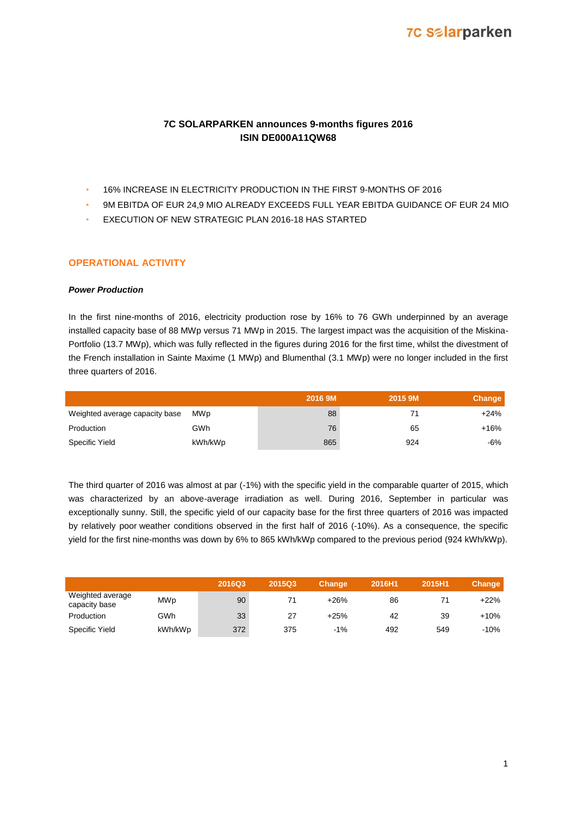## **7C Salarparken**

## **7C SOLARPARKEN announces 9-months figures 2016 ISIN DE000A11QW68**

- 16% INCREASE IN ELECTRICITY PRODUCTION IN THE FIRST 9-MONTHS OF 2016
- 9M EBITDA OF EUR 24,9 MIO ALREADY EXCEEDS FULL YEAR EBITDA GUIDANCE OF EUR 24 MIO
- EXECUTION OF NEW STRATEGIC PLAN 2016-18 HAS STARTED

#### **OPERATIONAL ACTIVITY**

#### *Power Production*

In the first nine-months of 2016, electricity production rose by 16% to 76 GWh underpinned by an average installed capacity base of 88 MWp versus 71 MWp in 2015. The largest impact was the acquisition of the Miskina-Portfolio (13.7 MWp), which was fully reflected in the figures during 2016 for the first time, whilst the divestment of the French installation in Sainte Maxime (1 MWp) and Blumenthal (3.1 MWp) were no longer included in the first three quarters of 2016.

|                                |         | 2016 9M | 2015 9M | Change |
|--------------------------------|---------|---------|---------|--------|
| Weighted average capacity base | MWp     | 88      |         | +24%   |
| Production                     | GWh     | 76      | 65      | +16%   |
| Specific Yield                 | kWh/kWp | 865     | 924     | -6%    |

The third quarter of 2016 was almost at par (-1%) with the specific yield in the comparable quarter of 2015, which was characterized by an above-average irradiation as well. During 2016, September in particular was exceptionally sunny. Still, the specific yield of our capacity base for the first three quarters of 2016 was impacted by relatively poor weather conditions observed in the first half of 2016 (-10%). As a consequence, the specific yield for the first nine-months was down by 6% to 865 kWh/kWp compared to the previous period (924 kWh/kWp).

|                                   |            | 2016Q3 | <b>2015Q3</b> | <b>Change</b> | 2016H1 | 2015H1 | Change |
|-----------------------------------|------------|--------|---------------|---------------|--------|--------|--------|
| Weighted average<br>capacity base | <b>MWp</b> | 90     | 71            | $+26%$        | 86     |        | $+22%$ |
| Production                        | GWh        | 33     | 27            | $+25%$        | 42     | 39     | $+10%$ |
| <b>Specific Yield</b>             | kWh/kWp    | 372    | 375           | $-1%$         | 492    | 549    | $-10%$ |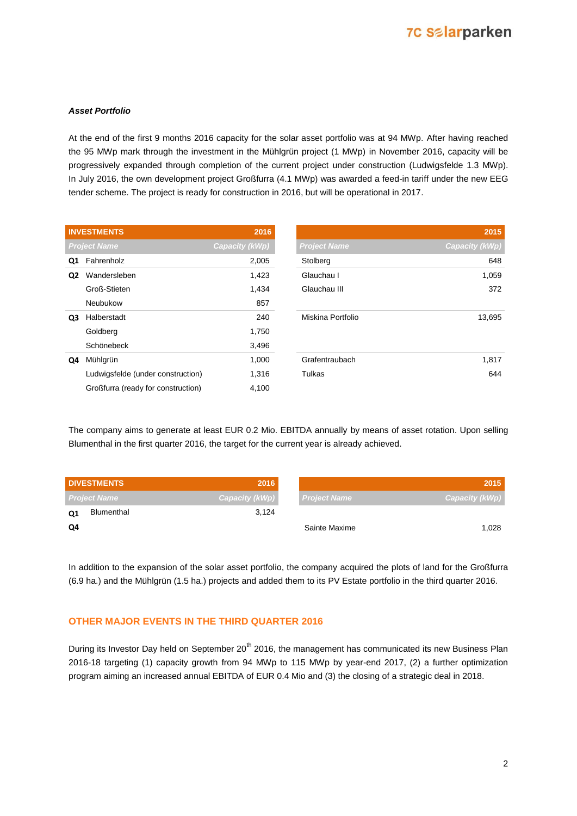# **7C Salarparken**

#### *Asset Portfolio*

At the end of the first 9 months 2016 capacity for the solar asset portfolio was at 94 MWp. After having reached the 95 MWp mark through the investment in the Mühlgrün project (1 MWp) in November 2016, capacity will be progressively expanded through completion of the current project under construction (Ludwigsfelde 1.3 MWp). In July 2016, the own development project Großfurra (4.1 MWp) was awarded a feed-in tariff under the new EEG tender scheme. The project is ready for construction in 2016, but will be operational in 2017.

|                | <b>INVESTMENTS</b>                 | 2016           |                     | 2015           |
|----------------|------------------------------------|----------------|---------------------|----------------|
|                | <b>Project Name</b>                | Capacity (kWp) | <b>Project Name</b> | Capacity (kWp) |
| Q1             | Fahrenholz                         | 2,005          | Stolberg            | 648            |
| Q <sub>2</sub> | Wandersleben                       | 1,423          | Glauchau I          | 1,059          |
|                | Groß-Stieten                       | 1,434          | Glauchau III        | 372            |
|                | Neubukow                           | 857            |                     |                |
| Q3             | Halberstadt                        | 240            | Miskina Portfolio   | 13,695         |
|                | Goldberg                           | 1,750          |                     |                |
|                | Schönebeck                         | 3,496          |                     |                |
| Q4             | Mühlgrün                           | 1,000          | Grafentraubach      | 1,817          |
|                | Ludwigsfelde (under construction)  | 1,316          | Tulkas              | 644            |
|                | Großfurra (ready for construction) | 4,100          |                     |                |

The company aims to generate at least EUR 0.2 Mio. EBITDA annually by means of asset rotation. Upon selling Blumenthal in the first quarter 2016, the target for the current year is already achieved.

| <b>DIVESTMENTS</b>  | 2016           |                     | 2015           |
|---------------------|----------------|---------------------|----------------|
| <b>Project Name</b> | Capacity (kWp) | <b>Project Name</b> | Capacity (kWp) |
| Blumenthal<br>Q1    | 3.124          |                     |                |
| Q4                  |                | Sainte Maxime       | 1.028          |

In addition to the expansion of the solar asset portfolio, the company acquired the plots of land for the Großfurra (6.9 ha.) and the Mühlgrün (1.5 ha.) projects and added them to its PV Estate portfolio in the third quarter 2016.

### **OTHER MAJOR EVENTS IN THE THIRD QUARTER 2016**

During its Investor Day held on September 20<sup>th</sup> 2016, the management has communicated its new Business Plan 2016-18 targeting (1) capacity growth from 94 MWp to 115 MWp by year-end 2017, (2) a further optimization program aiming an increased annual EBITDA of EUR 0.4 Mio and (3) the closing of a strategic deal in 2018.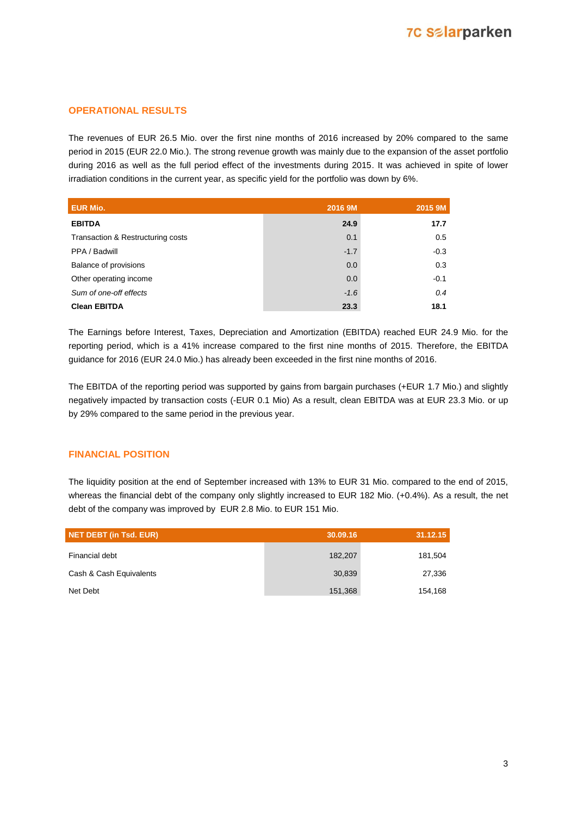### **OPERATIONAL RESULTS**

The revenues of EUR 26.5 Mio. over the first nine months of 2016 increased by 20% compared to the same period in 2015 (EUR 22.0 Mio.). The strong revenue growth was mainly due to the expansion of the asset portfolio during 2016 as well as the full period effect of the investments during 2015. It was achieved in spite of lower irradiation conditions in the current year, as specific yield for the portfolio was down by 6%.

| <b>EUR Mio.</b>                   | 2016 9M | 2015 9M |
|-----------------------------------|---------|---------|
| <b>EBITDA</b>                     | 24.9    | 17.7    |
| Transaction & Restructuring costs | 0.1     | 0.5     |
| PPA / Badwill                     | $-1.7$  | $-0.3$  |
| Balance of provisions             | 0.0     | 0.3     |
| Other operating income            | 0.0     | $-0.1$  |
| Sum of one-off effects            | $-1.6$  | 0.4     |
| <b>Clean EBITDA</b>               | 23.3    | 18.1    |

The Earnings before Interest, Taxes, Depreciation and Amortization (EBITDA) reached EUR 24.9 Mio. for the reporting period, which is a 41% increase compared to the first nine months of 2015. Therefore, the EBITDA guidance for 2016 (EUR 24.0 Mio.) has already been exceeded in the first nine months of 2016.

The EBITDA of the reporting period was supported by gains from bargain purchases (+EUR 1.7 Mio.) and slightly negatively impacted by transaction costs (-EUR 0.1 Mio) As a result, clean EBITDA was at EUR 23.3 Mio. or up by 29% compared to the same period in the previous year.

### **FINANCIAL POSITION**

The liquidity position at the end of September increased with 13% to EUR 31 Mio. compared to the end of 2015, whereas the financial debt of the company only slightly increased to EUR 182 Mio. (+0.4%). As a result, the net debt of the company was improved by EUR 2.8 Mio. to EUR 151 Mio.

| <b>NET DEBT (in Tsd. EUR)</b> | 30.09.16 | 31.12.15 |
|-------------------------------|----------|----------|
| Financial debt                | 182,207  | 181,504  |
| Cash & Cash Equivalents       | 30,839   | 27,336   |
| Net Debt                      | 151,368  | 154,168  |